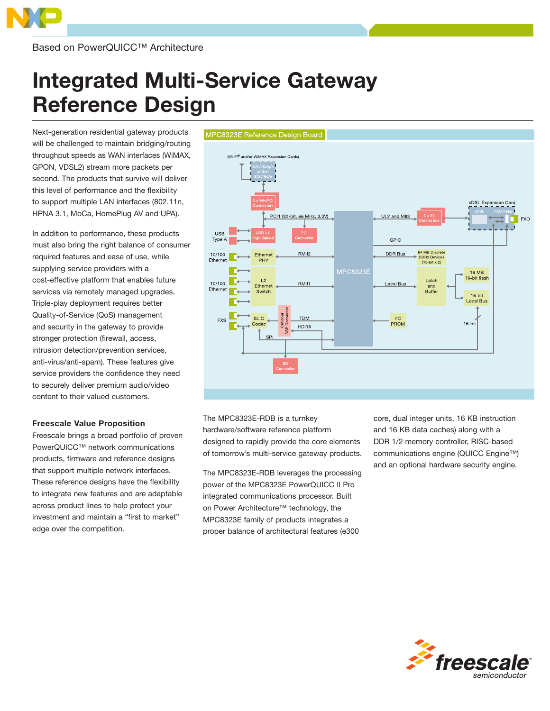

Based on PowerQUICC™ Architecture

# Integrated Multi-Service Gateway Reference Design

Next-generation residential gateway products will be challenged to maintain bridging/routing throughput speeds as WAN interfaces (WiMAX, GPON, VDSL2) stream more packets per second. The products that survive will deliver this level of performance and the flexibility to support multiple LAN interfaces (802.11n, HPNA 3.1, MoCa, HomePlug AV and UPA).

In addition to performance, these products must also bring the right balance of consumer required features and ease of use, while supplying service providers with a cost-effective platform that enables future services via remotely managed upgrades. Triple-play deployment requires better Quality-of-Service (QoS) management and security in the gateway to provide stronger protection (firewall, access, intrusion detection/prevention services, anti-virus/anti-spam). These features give service providers the confidence they need to securely deliver premium audio/video content to their valued customers.

# Freescale Value Proposition

Freescale brings a broad portfolio of proven PowerQUICC™ network communications products, firmware and reference designs that support multiple network interfaces. These reference designs have the flexibility to integrate new features and are adaptable across product lines to help protect your investment and maintain a "first to market" edge over the competition.



The MPC8323E-RDB is a turnkey hardware/software reference platform designed to rapidly provide the core elements of tomorrow's multi-service gateway products.

The MPC8323E-RDB leverages the processing power of the MPC8323E PowerQUICC II Pro integrated communications processor. Built on Power Architecture™ technology, the MPC8323E family of products integrates a proper balance of architectural features (e300

core, dual integer units, 16 KB instruction and 16 KB data caches) along with a DDR 1/2 memory controller, RISC-based communications engine (QUICC Engine™) and an optional hardware security engine.